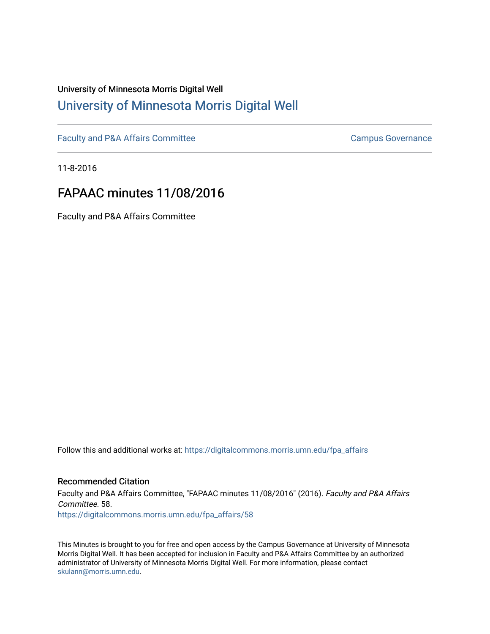# University of Minnesota Morris Digital Well [University of Minnesota Morris Digital Well](https://digitalcommons.morris.umn.edu/)

[Faculty and P&A Affairs Committee](https://digitalcommons.morris.umn.edu/fpa_affairs) [Campus Governance](https://digitalcommons.morris.umn.edu/campgov) Campus Governance

11-8-2016

# FAPAAC minutes 11/08/2016

Faculty and P&A Affairs Committee

Follow this and additional works at: [https://digitalcommons.morris.umn.edu/fpa\\_affairs](https://digitalcommons.morris.umn.edu/fpa_affairs?utm_source=digitalcommons.morris.umn.edu%2Ffpa_affairs%2F58&utm_medium=PDF&utm_campaign=PDFCoverPages)

# Recommended Citation

Faculty and P&A Affairs Committee, "FAPAAC minutes 11/08/2016" (2016). Faculty and P&A Affairs Committee. 58. [https://digitalcommons.morris.umn.edu/fpa\\_affairs/58](https://digitalcommons.morris.umn.edu/fpa_affairs/58?utm_source=digitalcommons.morris.umn.edu%2Ffpa_affairs%2F58&utm_medium=PDF&utm_campaign=PDFCoverPages) 

This Minutes is brought to you for free and open access by the Campus Governance at University of Minnesota Morris Digital Well. It has been accepted for inclusion in Faculty and P&A Affairs Committee by an authorized administrator of University of Minnesota Morris Digital Well. For more information, please contact [skulann@morris.umn.edu.](mailto:skulann@morris.umn.edu)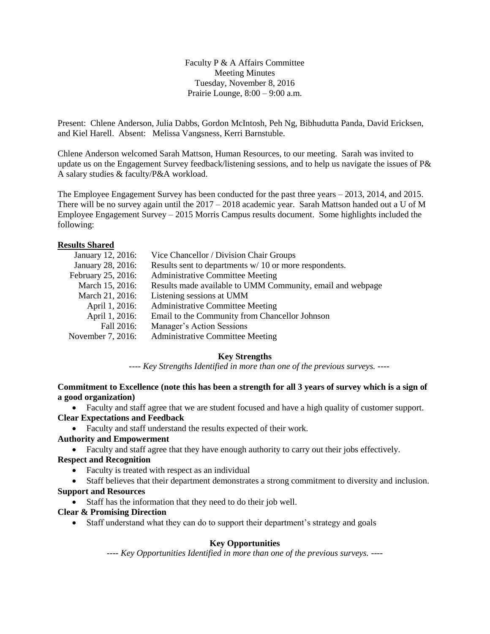Faculty P & A Affairs Committee Meeting Minutes Tuesday, November 8, 2016 Prairie Lounge, 8:00 – 9:00 a.m.

Present: Chlene Anderson, Julia Dabbs, Gordon McIntosh, Peh Ng, Bibhudutta Panda, David Ericksen, and Kiel Harell. Absent: Melissa Vangsness, Kerri Barnstuble.

Chlene Anderson welcomed Sarah Mattson, Human Resources, to our meeting. Sarah was invited to update us on the Engagement Survey feedback/listening sessions, and to help us navigate the issues of P& A salary studies & faculty/P&A workload.

The Employee Engagement Survey has been conducted for the past three years – 2013, 2014, and 2015. There will be no survey again until the  $2017 - 2018$  academic year. Sarah Mattson handed out a U of M Employee Engagement Survey – 2015 Morris Campus results document. Some highlights included the following:

#### **Results Shared**

| January 12, 2016:  | Vice Chancellor / Division Chair Groups                    |
|--------------------|------------------------------------------------------------|
| January 28, 2016:  | Results sent to departments $w/10$ or more respondents.    |
| February 25, 2016: | <b>Administrative Committee Meeting</b>                    |
| March 15, 2016:    | Results made available to UMM Community, email and webpage |
| March 21, 2016:    | Listening sessions at UMM                                  |
| April 1, 2016:     | <b>Administrative Committee Meeting</b>                    |
| April 1, 2016:     | Email to the Community from Chancellor Johnson             |
| Fall 2016:         | Manager's Action Sessions                                  |
| November 7, 2016:  | <b>Administrative Committee Meeting</b>                    |
|                    |                                                            |

#### **Key Strengths**

*---- Key Strengths Identified in more than one of the previous surveys. ----*

#### **Commitment to Excellence (note this has been a strength for all 3 years of survey which is a sign of a good organization)**

Faculty and staff agree that we are student focused and have a high quality of customer support.

# **Clear Expectations and Feedback**

Faculty and staff understand the results expected of their work.

#### **Authority and Empowerment**

Faculty and staff agree that they have enough authority to carry out their jobs effectively.

#### **Respect and Recognition**

• Faculty is treated with respect as an individual

 Staff believes that their department demonstrates a strong commitment to diversity and inclusion. **Support and Resources**

Staff has the information that they need to do their job well.

# **Clear & Promising Direction**

• Staff understand what they can do to support their department's strategy and goals

#### **Key Opportunities**

*---- Key Opportunities Identified in more than one of the previous surveys. ----*